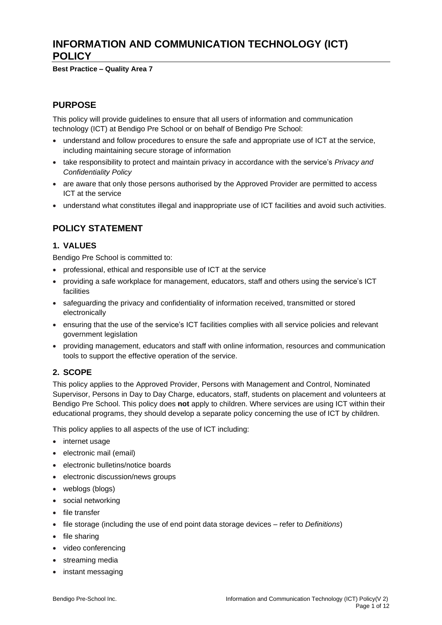# **INFORMATION AND COMMUNICATION TECHNOLOGY (ICT) POLICY**

**Best Practice – Quality Area 7**

## **PURPOSE**

This policy will provide guidelines to ensure that all users of information and communication technology (ICT) at Bendigo Pre School or on behalf of Bendigo Pre School:

- understand and follow procedures to ensure the safe and appropriate use of ICT at the service, including maintaining secure storage of information
- take responsibility to protect and maintain privacy in accordance with the service's *Privacy and Confidentiality Policy*
- are aware that only those persons authorised by the Approved Provider are permitted to access ICT at the service
- understand what constitutes illegal and inappropriate use of ICT facilities and avoid such activities.

# **POLICY STATEMENT**

### **1. VALUES**

Bendigo Pre School is committed to:

- professional, ethical and responsible use of ICT at the service
- providing a safe workplace for management, educators, staff and others using the service's ICT facilities
- safeguarding the privacy and confidentiality of information received, transmitted or stored electronically
- ensuring that the use of the service's ICT facilities complies with all service policies and relevant government legislation
- providing management, educators and staff with online information, resources and communication tools to support the effective operation of the service.

### **2. SCOPE**

This policy applies to the Approved Provider, Persons with Management and Control, Nominated Supervisor, Persons in Day to Day Charge, educators, staff, students on placement and volunteers at Bendigo Pre School. This policy does **not** apply to children. Where services are using ICT within their educational programs, they should develop a separate policy concerning the use of ICT by children.

This policy applies to all aspects of the use of ICT including:

- internet usage
- electronic mail (email)
- electronic bulletins/notice boards
- electronic discussion/news groups
- weblogs (blogs)
- social networking
- file transfer
- file storage (including the use of end point data storage devices refer to *Definitions*)
- file sharing
- video conferencing
- streaming media
- instant messaging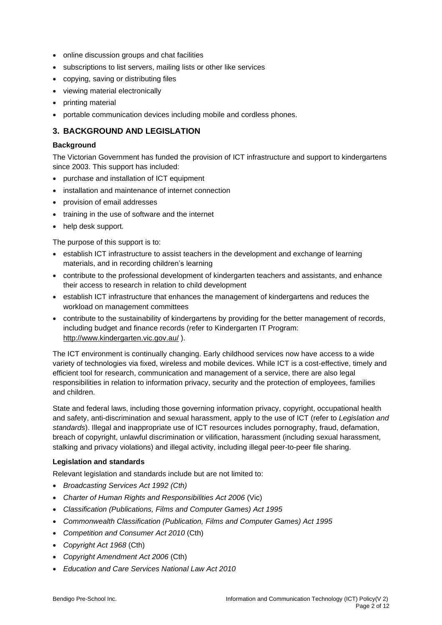- online discussion groups and chat facilities
- subscriptions to list servers, mailing lists or other like services
- copying, saving or distributing files
- viewing material electronically
- printing material
- portable communication devices including mobile and cordless phones.

### **3. BACKGROUND AND LEGISLATION**

#### **Background**

The Victorian Government has funded the provision of ICT infrastructure and support to kindergartens since 2003. This support has included:

- purchase and installation of ICT equipment
- installation and maintenance of internet connection
- provision of email addresses
- training in the use of software and the internet
- help desk support.

The purpose of this support is to:

- establish ICT infrastructure to assist teachers in the development and exchange of learning materials, and in recording children's learning
- contribute to the professional development of kindergarten teachers and assistants, and enhance their access to research in relation to child development
- establish ICT infrastructure that enhances the management of kindergartens and reduces the workload on management committees
- contribute to the sustainability of kindergartens by providing for the better management of records, including budget and finance records (refer to Kindergarten IT Program: <http://www.kindergarten.vic.gov.au/> ).

The ICT environment is continually changing. Early childhood services now have access to a wide variety of technologies via fixed, wireless and mobile devices. While ICT is a cost-effective, timely and efficient tool for research, communication and management of a service, there are also legal responsibilities in relation to information privacy, security and the protection of employees, families and children.

State and federal laws, including those governing information privacy, copyright, occupational health and safety, anti-discrimination and sexual harassment, apply to the use of ICT (refer to *Legislation and standards*). Illegal and inappropriate use of ICT resources includes pornography, fraud, defamation, breach of copyright, unlawful discrimination or vilification, harassment (including sexual harassment, stalking and privacy violations) and illegal activity, including illegal peer-to-peer file sharing.

#### **Legislation and standards**

Relevant legislation and standards include but are not limited to:

- *Broadcasting Services Act 1992 (Cth)*
- *Charter of Human Rights and Responsibilities Act 2006* (Vic)
- *Classification (Publications, Films and Computer Games) Act 1995*
- *Commonwealth Classification (Publication, Films and Computer Games) Act 1995*
- *Competition and Consumer Act 2010* (Cth)
- *Copyright Act 1968* (Cth)
- *Copyright Amendment Act 2006* (Cth)
- *Education and Care Services National Law Act 2010*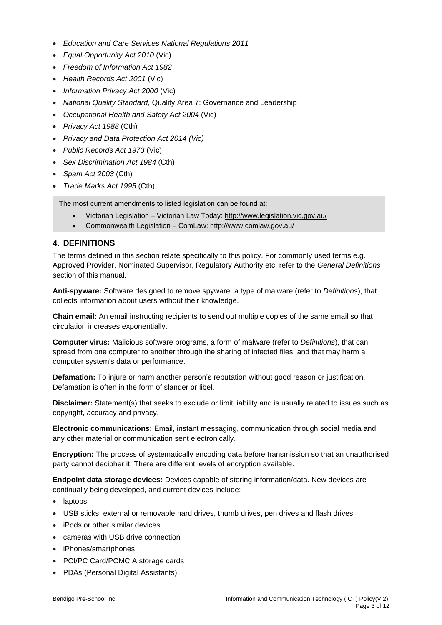- *Education and Care Services National Regulations 2011*
- *Equal Opportunity Act 2010* (Vic)
- *Freedom of Information Act 1982*
- *Health Records Act 2001* (Vic)
- *Information Privacy Act 2000* (Vic)
- *National Quality Standard*, Quality Area 7: Governance and Leadership
- *Occupational Health and Safety Act 2004* (Vic)
- *Privacy Act 1988* (Cth)
- *Privacy and Data Protection Act 2014 (Vic)*
- *Public Records Act 1973* (Vic)
- *Sex Discrimination Act 1984* (Cth)
- *Spam Act 2003* (Cth)
- *Trade Marks Act 1995* (Cth)

The most current amendments to listed legislation can be found at:

- Victorian Legislation Victorian Law Today: <http://www.legislation.vic.gov.au/>
- Commonwealth Legislation ComLaw: <http://www.comlaw.gov.au/>

### **4. DEFINITIONS**

The terms defined in this section relate specifically to this policy. For commonly used terms e.g. Approved Provider, Nominated Supervisor, Regulatory Authority etc. refer to the *General Definitions* section of this manual.

**Anti-spyware:** Software designed to remove spyware: a type of malware (refer to *Definitions*), that collects information about users without their knowledge.

**Chain email:** An email instructing recipients to send out multiple copies of the same email so that circulation increases exponentially.

**Computer virus:** Malicious software programs, a form of malware (refer to *Definitions*), that can spread from one computer to another through the sharing of infected files, and that may harm a computer system's data or performance.

**Defamation:** To injure or harm another person's reputation without good reason or justification. Defamation is often in the form of slander or libel.

**Disclaimer:** Statement(s) that seeks to exclude or limit liability and is usually related to issues such as copyright, accuracy and privacy.

**Electronic communications:** Email, instant messaging, communication through social media and any other material or communication sent electronically.

**Encryption:** The process of systematically encoding data before transmission so that an unauthorised party cannot decipher it. There are different levels of encryption available.

**Endpoint data storage devices:** Devices capable of storing information/data. New devices are continually being developed, and current devices include:

- laptops
- USB sticks, external or removable hard drives, thumb drives, pen drives and flash drives
- iPods or other similar devices
- cameras with USB drive connection
- iPhones/smartphones
- PCI/PC Card/PCMCIA storage cards
- PDAs (Personal Digital Assistants)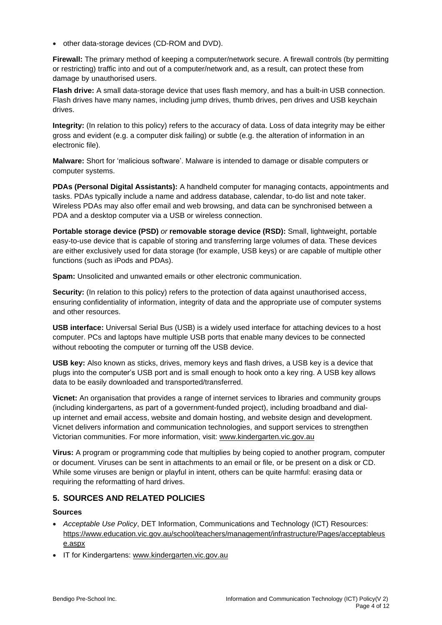• other data-storage devices (CD-ROM and DVD).

**Firewall:** The primary method of keeping a computer/network secure. A firewall controls (by permitting or restricting) traffic into and out of a computer/network and, as a result, can protect these from damage by unauthorised users.

**Flash drive:** A small data-storage device that uses flash memory, and has a built-in USB connection. Flash drives have many names, including jump drives, thumb drives, pen drives and USB keychain drives.

**Integrity:** (In relation to this policy) refers to the accuracy of data. Loss of data integrity may be either gross and evident (e.g. a computer disk failing) or subtle (e.g. the alteration of information in an electronic file).

**Malware:** Short for 'malicious software'. Malware is intended to damage or disable computers or computer systems.

**PDAs (Personal Digital Assistants):** A handheld computer for managing contacts, appointments and tasks. PDAs typically include a name and address database, calendar, to-do list and note taker. Wireless PDAs may also offer email and web browsing, and data can be synchronised between a PDA and a desktop computer via a USB or wireless connection.

**Portable storage device (PSD)** *or* **removable storage device (RSD):** Small, lightweight, portable easy-to-use device that is capable of storing and transferring large volumes of data. These devices are either exclusively used for data storage (for example, USB keys) or are capable of multiple other functions (such as iPods and PDAs).

**Spam:** Unsolicited and unwanted emails or other electronic communication.

**Security:** (In relation to this policy) refers to the protection of data against unauthorised access, ensuring confidentiality of information, integrity of data and the appropriate use of computer systems and other resources.

**USB interface:** Universal Serial Bus (USB) is a widely used interface for attaching devices to a host computer. PCs and laptops have multiple USB ports that enable many devices to be connected without rebooting the computer or turning off the USB device.

**USB key:** Also known as sticks, drives, memory keys and flash drives, a USB key is a device that plugs into the computer's USB port and is small enough to hook onto a key ring. A USB key allows data to be easily downloaded and transported/transferred.

**Vicnet:** An organisation that provides a range of internet services to libraries and community groups (including kindergartens, as part of a government-funded project), including broadband and dialup internet and email access, website and domain hosting, and website design and development. Vicnet delivers information and communication technologies, and support services to strengthen Victorian communities. For more information, visit: [www.kindergarten.vic.gov.au](http://www.kindergarten.vic.gov.au/)

**Virus:** A program or programming code that multiplies by being copied to another program, computer or document. Viruses can be sent in attachments to an email or file, or be present on a disk or CD. While some viruses are benign or playful in intent, others can be quite harmful: erasing data or requiring the reformatting of hard drives.

### **5. SOURCES AND RELATED POLICIES**

#### **Sources**

- *Acceptable Use Policy*, DET Information, Communications and Technology (ICT) Resources: [https://www.education.vic.gov.au/school/teachers/management/infrastructure/Pages/acceptableus](https://www.education.vic.gov.au/school/teachers/management/infrastructure/Pages/acceptableuse.aspx) [e.aspx](https://www.education.vic.gov.au/school/teachers/management/infrastructure/Pages/acceptableuse.aspx)
- IT for Kindergartens: [www.kindergarten.vic.gov.au](http://www.kindergarten.vic.gov.au/)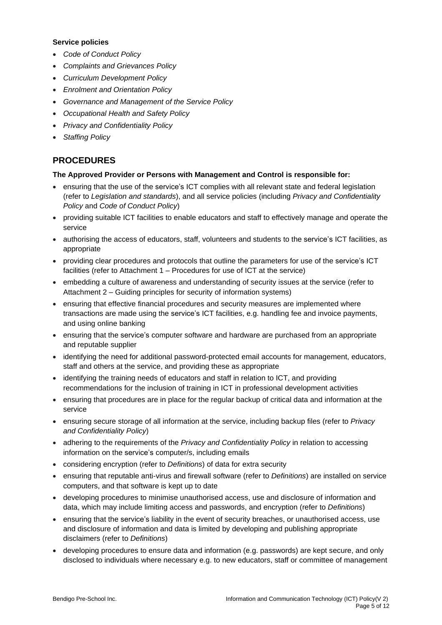#### **Service policies**

- *Code of Conduct Policy*
- *Complaints and Grievances Policy*
- *Curriculum Development Policy*
- *Enrolment and Orientation Policy*
- *Governance and Management of the Service Policy*
- *Occupational Health and Safety Policy*
- *Privacy and Confidentiality Policy*
- *Staffing Policy*

## **PROCEDURES**

#### **The Approved Provider or Persons with Management and Control is responsible for:**

- ensuring that the use of the service's ICT complies with all relevant state and federal legislation (refer to *Legislation and standards*), and all service policies (including *Privacy and Confidentiality Policy* and *Code of Conduct Policy*)
- providing suitable ICT facilities to enable educators and staff to effectively manage and operate the service
- authorising the access of educators, staff, volunteers and students to the service's ICT facilities, as appropriate
- providing clear procedures and protocols that outline the parameters for use of the service's ICT facilities (refer to Attachment 1 – Procedures for use of ICT at the service)
- embedding a culture of awareness and understanding of security issues at the service (refer to Attachment 2 – Guiding principles for security of information systems)
- ensuring that effective financial procedures and security measures are implemented where transactions are made using the service's ICT facilities, e.g. handling fee and invoice payments, and using online banking
- ensuring that the service's computer software and hardware are purchased from an appropriate and reputable supplier
- identifying the need for additional password-protected email accounts for management, educators, staff and others at the service, and providing these as appropriate
- identifying the training needs of educators and staff in relation to ICT, and providing recommendations for the inclusion of training in ICT in professional development activities
- ensuring that procedures are in place for the regular backup of critical data and information at the service
- ensuring secure storage of all information at the service, including backup files (refer to *Privacy and Confidentiality Policy*)
- adhering to the requirements of the *Privacy and Confidentiality Policy* in relation to accessing information on the service's computer/s, including emails
- considering encryption (refer to *Definitions*) of data for extra security
- ensuring that reputable anti-virus and firewall software (refer to *Definitions*) are installed on service computers, and that software is kept up to date
- developing procedures to minimise unauthorised access, use and disclosure of information and data, which may include limiting access and passwords, and encryption (refer to *Definitions*)
- ensuring that the service's liability in the event of security breaches, or unauthorised access, use and disclosure of information and data is limited by developing and publishing appropriate disclaimers (refer to *Definitions*)
- developing procedures to ensure data and information (e.g. passwords) are kept secure, and only disclosed to individuals where necessary e.g. to new educators, staff or committee of management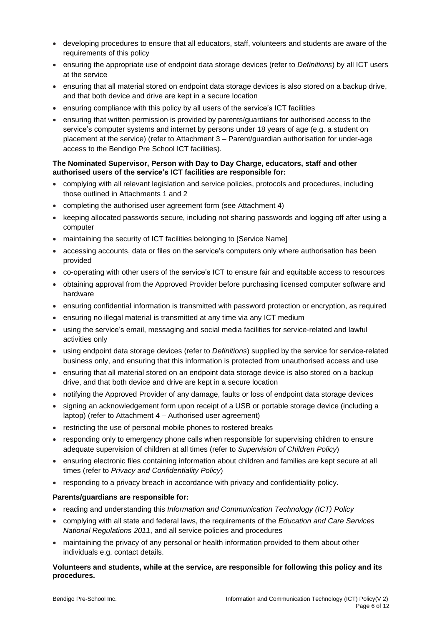- developing procedures to ensure that all educators, staff, volunteers and students are aware of the requirements of this policy
- ensuring the appropriate use of endpoint data storage devices (refer to *Definitions*) by all ICT users at the service
- ensuring that all material stored on endpoint data storage devices is also stored on a backup drive, and that both device and drive are kept in a secure location
- ensuring compliance with this policy by all users of the service's ICT facilities
- ensuring that written permission is provided by parents/guardians for authorised access to the service's computer systems and internet by persons under 18 years of age (e.g. a student on placement at the service) (refer to Attachment 3 – Parent/guardian authorisation for under-age access to the Bendigo Pre School ICT facilities).

#### **The Nominated Supervisor, Person with Day to Day Charge, educators, staff and other authorised users of the service's ICT facilities are responsible for:**

- complying with all relevant legislation and service policies, protocols and procedures, including those outlined in Attachments 1 and 2
- completing the authorised user agreement form (see Attachment 4)
- keeping allocated passwords secure, including not sharing passwords and logging off after using a computer
- maintaining the security of ICT facilities belonging to [Service Name]
- accessing accounts, data or files on the service's computers only where authorisation has been provided
- co-operating with other users of the service's ICT to ensure fair and equitable access to resources
- obtaining approval from the Approved Provider before purchasing licensed computer software and hardware
- ensuring confidential information is transmitted with password protection or encryption, as required
- ensuring no illegal material is transmitted at any time via any ICT medium
- using the service's email, messaging and social media facilities for service-related and lawful activities only
- using endpoint data storage devices (refer to *Definitions*) supplied by the service for service-related business only, and ensuring that this information is protected from unauthorised access and use
- ensuring that all material stored on an endpoint data storage device is also stored on a backup drive, and that both device and drive are kept in a secure location
- notifying the Approved Provider of any damage, faults or loss of endpoint data storage devices
- signing an acknowledgement form upon receipt of a USB or portable storage device (including a laptop) (refer to Attachment 4 – Authorised user agreement)
- restricting the use of personal mobile phones to rostered breaks
- responding only to emergency phone calls when responsible for supervising children to ensure adequate supervision of children at all times (refer to *Supervision of Children Policy*)
- ensuring electronic files containing information about children and families are kept secure at all times (refer to *Privacy and Confidentiality Policy*)
- responding to a privacy breach in accordance with privacy and confidentiality policy.

#### **Parents/guardians are responsible for:**

- reading and understanding this *Information and Communication Technology (ICT) Policy*
- complying with all state and federal laws, the requirements of the *Education and Care Services National Regulations 2011*, and all service policies and procedures
- maintaining the privacy of any personal or health information provided to them about other individuals e.g. contact details.

#### **Volunteers and students, while at the service, are responsible for following this policy and its procedures.**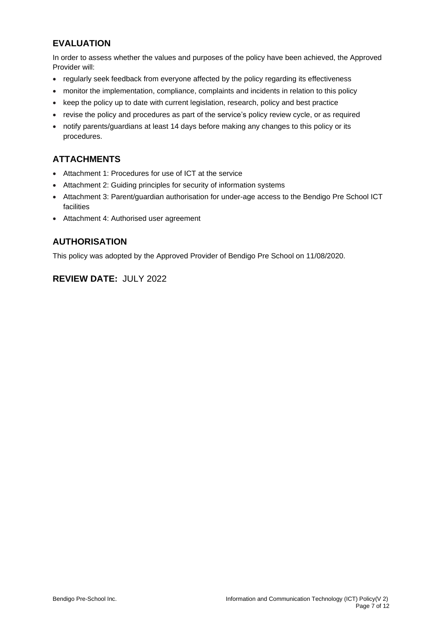# **EVALUATION**

In order to assess whether the values and purposes of the policy have been achieved, the Approved Provider will:

- regularly seek feedback from everyone affected by the policy regarding its effectiveness
- monitor the implementation, compliance, complaints and incidents in relation to this policy
- keep the policy up to date with current legislation, research, policy and best practice
- revise the policy and procedures as part of the service's policy review cycle, or as required
- notify parents/guardians at least 14 days before making any changes to this policy or its procedures.

# **ATTACHMENTS**

- Attachment 1: Procedures for use of ICT at the service
- Attachment 2: Guiding principles for security of information systems
- Attachment 3: Parent/guardian authorisation for under-age access to the Bendigo Pre School ICT facilities
- Attachment 4: Authorised user agreement

## **AUTHORISATION**

This policy was adopted by the Approved Provider of Bendigo Pre School on 11/08/2020.

# **REVIEW DATE:** JULY 2022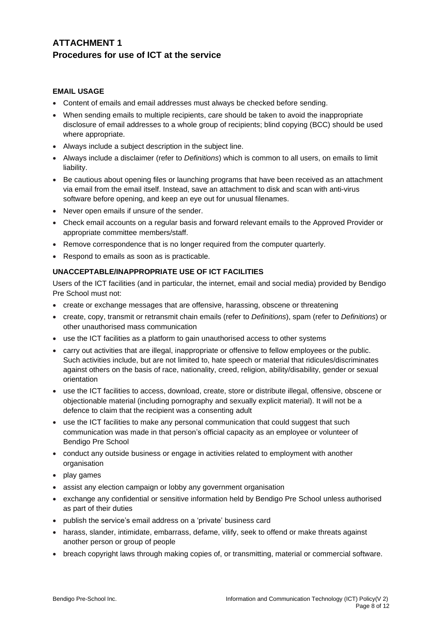# **ATTACHMENT 1 Procedures for use of ICT at the service**

#### **EMAIL USAGE**

- Content of emails and email addresses must always be checked before sending.
- When sending emails to multiple recipients, care should be taken to avoid the inappropriate disclosure of email addresses to a whole group of recipients; blind copying (BCC) should be used where appropriate.
- Always include a subject description in the subject line.
- Always include a disclaimer (refer to *Definitions*) which is common to all users, on emails to limit liability.
- Be cautious about opening files or launching programs that have been received as an attachment via email from the email itself. Instead, save an attachment to disk and scan with anti-virus software before opening, and keep an eye out for unusual filenames.
- Never open emails if unsure of the sender.
- Check email accounts on a regular basis and forward relevant emails to the Approved Provider or appropriate committee members/staff.
- Remove correspondence that is no longer required from the computer quarterly.
- Respond to emails as soon as is practicable.

#### **UNACCEPTABLE/INAPPROPRIATE USE OF ICT FACILITIES**

Users of the ICT facilities (and in particular, the internet, email and social media) provided by Bendigo Pre School must not:

- create or exchange messages that are offensive, harassing, obscene or threatening
- create, copy, transmit or retransmit chain emails (refer to *Definitions*), spam (refer to *Definitions*) or other unauthorised mass communication
- use the ICT facilities as a platform to gain unauthorised access to other systems
- carry out activities that are illegal, inappropriate or offensive to fellow employees or the public. Such activities include, but are not limited to, hate speech or material that ridicules/discriminates against others on the basis of race, nationality, creed, religion, ability/disability, gender or sexual orientation
- use the ICT facilities to access, download, create, store or distribute illegal, offensive, obscene or objectionable material (including pornography and sexually explicit material). It will not be a defence to claim that the recipient was a consenting adult
- use the ICT facilities to make any personal communication that could suggest that such communication was made in that person's official capacity as an employee or volunteer of Bendigo Pre School
- conduct any outside business or engage in activities related to employment with another organisation
- play games
- assist any election campaign or lobby any government organisation
- exchange any confidential or sensitive information held by Bendigo Pre School unless authorised as part of their duties
- publish the service's email address on a 'private' business card
- harass, slander, intimidate, embarrass, defame, vilify, seek to offend or make threats against another person or group of people
- breach copyright laws through making copies of, or transmitting, material or commercial software.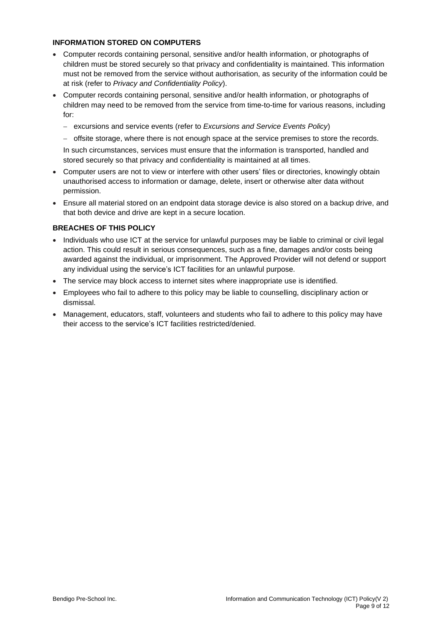#### **INFORMATION STORED ON COMPUTERS**

- Computer records containing personal, sensitive and/or health information, or photographs of children must be stored securely so that privacy and confidentiality is maintained. This information must not be removed from the service without authorisation, as security of the information could be at risk (refer to *Privacy and Confidentiality Policy*).
- Computer records containing personal, sensitive and/or health information, or photographs of children may need to be removed from the service from time-to-time for various reasons, including for:
	- − excursions and service events (refer to *Excursions and Service Events Policy*)
	- − offsite storage, where there is not enough space at the service premises to store the records.

In such circumstances, services must ensure that the information is transported, handled and stored securely so that privacy and confidentiality is maintained at all times.

- Computer users are not to view or interfere with other users' files or directories, knowingly obtain unauthorised access to information or damage, delete, insert or otherwise alter data without permission.
- Ensure all material stored on an endpoint data storage device is also stored on a backup drive, and that both device and drive are kept in a secure location.

### **BREACHES OF THIS POLICY**

- Individuals who use ICT at the service for unlawful purposes may be liable to criminal or civil legal action. This could result in serious consequences, such as a fine, damages and/or costs being awarded against the individual, or imprisonment. The Approved Provider will not defend or support any individual using the service's ICT facilities for an unlawful purpose.
- The service may block access to internet sites where inappropriate use is identified.
- Employees who fail to adhere to this policy may be liable to counselling, disciplinary action or dismissal.
- Management, educators, staff, volunteers and students who fail to adhere to this policy may have their access to the service's ICT facilities restricted/denied.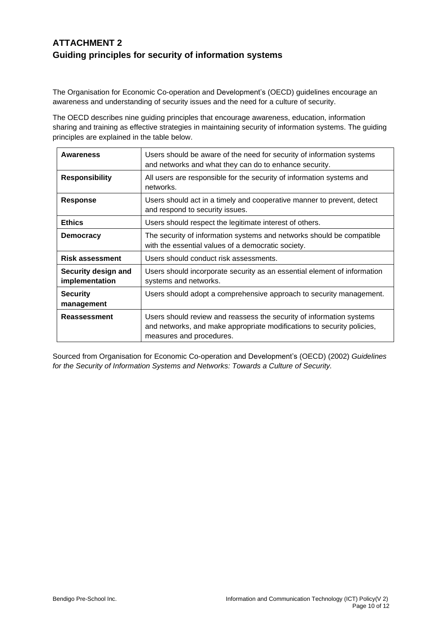# **ATTACHMENT 2 Guiding principles for security of information systems**

The Organisation for Economic Co-operation and Development's (OECD) guidelines encourage an awareness and understanding of security issues and the need for a culture of security.

The OECD describes nine guiding principles that encourage awareness, education, information sharing and training as effective strategies in maintaining security of information systems. The guiding principles are explained in the table below.

| <b>Awareness</b>                      | Users should be aware of the need for security of information systems<br>and networks and what they can do to enhance security.                                            |
|---------------------------------------|----------------------------------------------------------------------------------------------------------------------------------------------------------------------------|
| <b>Responsibility</b>                 | All users are responsible for the security of information systems and<br>networks.                                                                                         |
| <b>Response</b>                       | Users should act in a timely and cooperative manner to prevent, detect<br>and respond to security issues.                                                                  |
| <b>Ethics</b>                         | Users should respect the legitimate interest of others.                                                                                                                    |
| <b>Democracy</b>                      | The security of information systems and networks should be compatible<br>with the essential values of a democratic society.                                                |
| <b>Risk assessment</b>                | Users should conduct risk assessments.                                                                                                                                     |
| Security design and<br>implementation | Users should incorporate security as an essential element of information<br>systems and networks.                                                                          |
| <b>Security</b><br>management         | Users should adopt a comprehensive approach to security management.                                                                                                        |
| Reassessment                          | Users should review and reassess the security of information systems<br>and networks, and make appropriate modifications to security policies,<br>measures and procedures. |

Sourced from Organisation for Economic Co-operation and Development's (OECD) (2002) *Guidelines for the Security of Information Systems and Networks: Towards a Culture of Security.*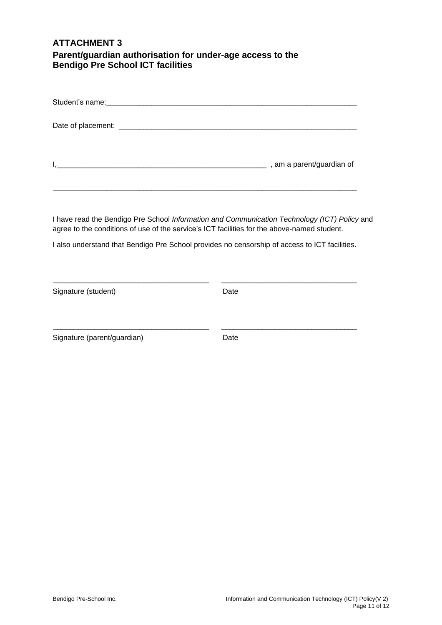## **ATTACHMENT 3 Parent/guardian authorisation for under-age access to the Bendigo Pre School ICT facilities**

| , am a parent/guardian of |
|---------------------------|

I have read the Bendigo Pre School *Information and Communication Technology (ICT) Policy* and agree to the conditions of use of the service's ICT facilities for the above-named student.

I also understand that Bendigo Pre School provides no censorship of access to ICT facilities.

\_\_\_\_\_\_\_\_\_\_\_\_\_\_\_\_\_\_\_\_\_\_\_\_\_\_\_\_\_\_\_\_\_\_\_\_\_\_ \_\_\_\_\_\_\_\_\_\_\_\_\_\_\_\_\_\_\_\_\_\_\_\_\_\_\_\_\_\_\_\_\_

\_\_\_\_\_\_\_\_\_\_\_\_\_\_\_\_\_\_\_\_\_\_\_\_\_\_\_\_\_\_\_\_\_\_\_\_\_\_ \_\_\_\_\_\_\_\_\_\_\_\_\_\_\_\_\_\_\_\_\_\_\_\_\_\_\_\_\_\_\_\_\_

| Signature (student) | Date |
|---------------------|------|
|                     |      |

Signature (parent/guardian) Date